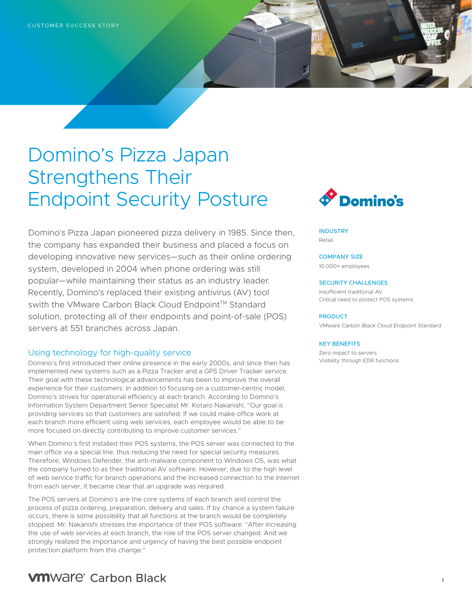# Domino's Pizza Japan Strengthens Their Endpoint Security Posture

Domino's Pizza Japan pioneered pizza delivery in 1985. Since then, the company has expanded their business and placed a focus on developing innovative new services—such as their online ordering system, developed in 2004 when phone ordering was still popular—while maintaining their status as an industry leader. Recently, Domino's replaced their existing antivirus (AV) tool swith the VMware Carbon Black Cloud Endpoint™ Standard solution, protecting all of their endpoints and point-of-sale (POS) servers at 551 branches across Japan.

### Using technology for high-quality service

Domino's first introduced their online presence in the early 2000s, and since then has implemented new systems such as a Pizza Tracker and a GPS Driver Tracker service. Their goal with these technological advancements has been to improve the overall experience for their customers. In addition to focusing on a customer-centric model, Domino's strives for operational efficiency at each branch. According to Domino's Information System Department Senior Specialist Mr. Kotaro Nakanishi, "Our goal is providing services so that customers are satisfied. If we could make office work at each branch more efficient using web services, each employee would be able to be more focused on directly contributing to improve customer services."

When Domino's first installed their POS systems, the POS server was connected to the main office via a special line, thus reducing the need for special security measures. Therefore, Windows Defender, the anti-malware component to Windows OS, was what the company turned to as their traditional AV software. However, due to the high level of web service traffic for branch operations and the increased connection to the internet from each server, it became clear that an upgrade was required.

The POS servers at Domino's are the core systems of each branch and control the process of pizza ordering, preparation, delivery and sales. If by chance a system failure occurs, there is some possibility that all functions at the branch would be completely stopped. Mr. Nakanishi stresses the importance of their POS software: "After increasing the use of web services at each branch, the role of the POS server changed. And we strongly realized the importance and urgency of having the best possible endpoint protection platform from this change."



**INDUSTRY** Retail

COMPANY SIZE 10,000+ employees

#### SECURITY CHALLENGES

Insufficient traditional AV Critical need to protect POS systems

#### PRODUCT

VMware Carbon Black Cloud Endpoint Standard

#### KEY BENEFITS

Zero impact to servers Visibility through EDR functions

# **VM**Ware<sup>®</sup> Carbon Black